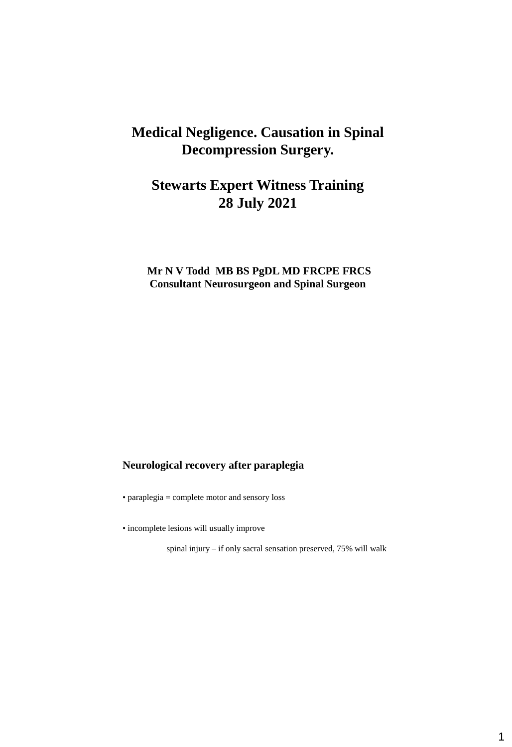# **Medical Negligence. Causation in Spinal Decompression Surgery.**

# **Stewarts Expert Witness Training 28 July 2021**

## **Mr N V Todd MB BS PgDL MD FRCPE FRCS Consultant Neurosurgeon and Spinal Surgeon**

#### **Neurological recovery after paraplegia**

• paraplegia = complete motor and sensory loss

• incomplete lesions will usually improve

spinal injury – if only sacral sensation preserved, 75% will walk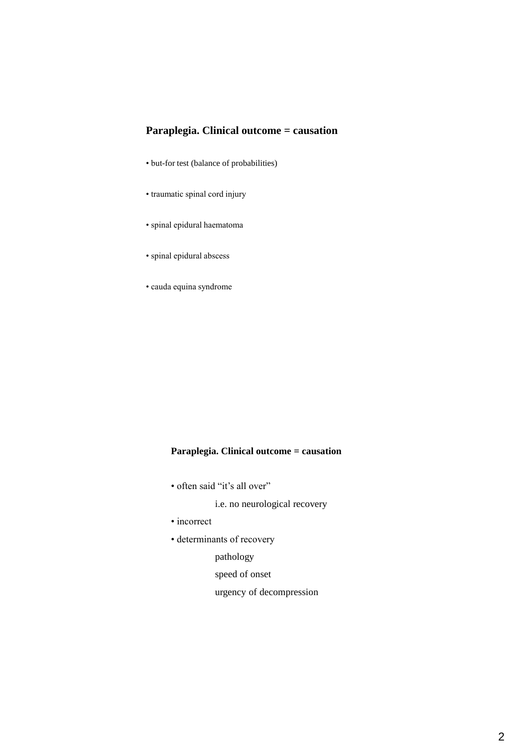## **Paraplegia. Clinical outcome = causation**

- but-for test (balance of probabilities)
- traumatic spinal cord injury
- spinal epidural haematoma
- spinal epidural abscess
- cauda equina syndrome

## **Paraplegia. Clinical outcome = causation**

• often said "it's all over"

i.e. no neurological recovery

- incorrect
- determinants of recovery

pathology

speed of onset

urgency of decompression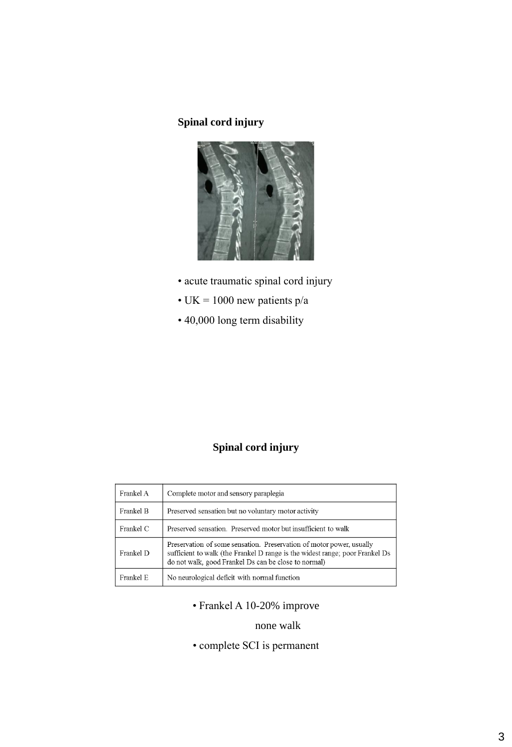## **Spinal cord injury**



- acute traumatic spinal cord injury
- UK = 1000 new patients  $p/a$
- 40,000 long term disability

## **Spinal cord injury**

| Frankel A | Complete motor and sensory paraplegia                                                                                                                                                                        |  |  |
|-----------|--------------------------------------------------------------------------------------------------------------------------------------------------------------------------------------------------------------|--|--|
| Frankel B | Preserved sensation but no voluntary motor activity                                                                                                                                                          |  |  |
| Frankel C | Preserved sensation. Preserved motor but insufficient to walk                                                                                                                                                |  |  |
| Frankel D | Preservation of some sensation. Preservation of motor power, usually<br>sufficient to walk (the Frankel D range is the widest range; poor Frankel Ds<br>do not walk, good Frankel Ds can be close to normal) |  |  |
| Frankel E | No neurological deficit with normal function                                                                                                                                                                 |  |  |

• Frankel A 10-20% improve

## none walk

• complete SCI is permanent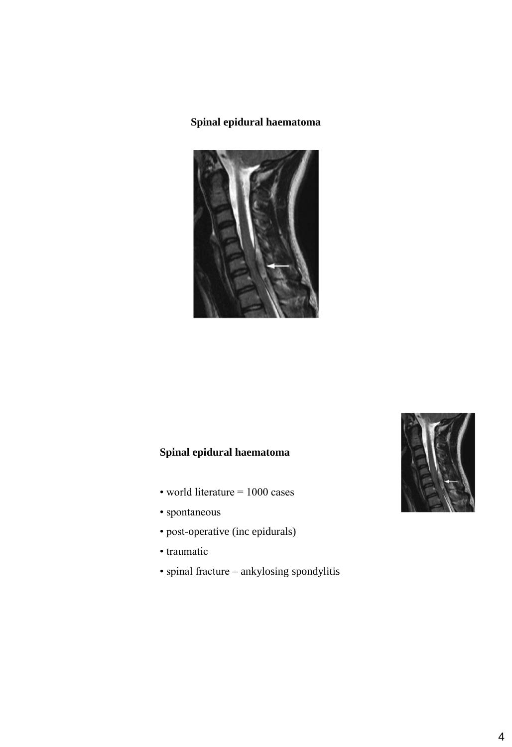## **Spinal epidural haematoma**



## **Spinal epidural haematoma**

- world literature = 1000 cases
- spontaneous
- post-operative (inc epidurals)
- traumatic
- spinal fracture ankylosing spondylitis

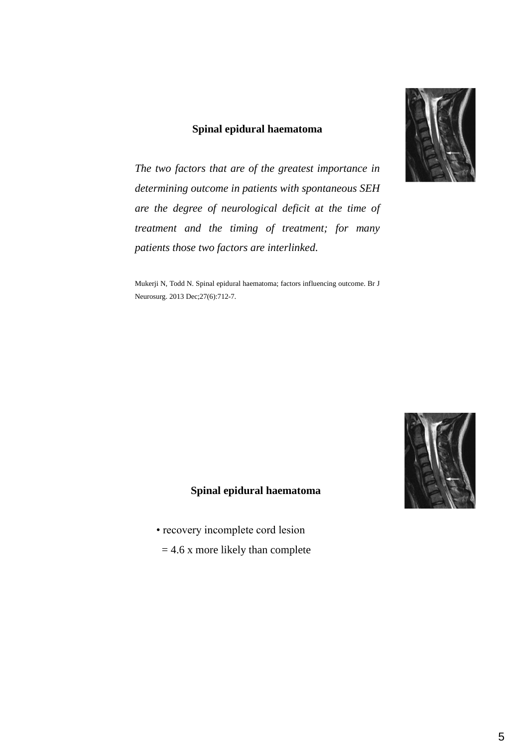#### **Spinal epidural haematoma**

*The two factors that are of the greatest importance in determining outcome in patients with spontaneous SEH are the degree of neurological deficit at the time of treatment and the timing of treatment; for many patients those two factors are interlinked.*

Mukerji N, Todd N. Spinal epidural haematoma; factors influencing outcome. Br J Neurosurg. 2013 Dec;27(6):712-7.



#### **Spinal epidural haematoma**

- recovery incomplete cord lesion
	- $= 4.6$  x more likely than complete

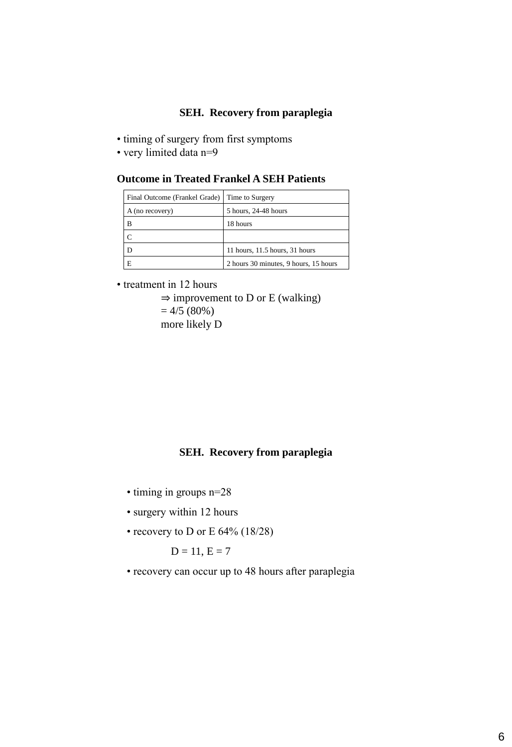#### **SEH. Recovery from paraplegia**

- timing of surgery from first symptoms
- very limited data n=9

#### **Outcome in Treated Frankel A SEH Patients**

| Final Outcome (Frankel Grade) | Time to Surgery                       |  |  |
|-------------------------------|---------------------------------------|--|--|
| A (no recovery)               | 5 hours, 24-48 hours                  |  |  |
| R                             | 18 hours                              |  |  |
|                               |                                       |  |  |
|                               | 11 hours, 11.5 hours, 31 hours        |  |  |
|                               | 2 hours 30 minutes, 9 hours, 15 hours |  |  |

• treatment in 12 hours

```
\Rightarrow improvement to D or E (walking)
= 4/5 (80\%)more likely D
```
#### **SEH. Recovery from paraplegia**

- timing in groups n=28
- surgery within 12 hours
- recovery to D or E 64% (18/28)

$$
D=11, E=7
$$

• recovery can occur up to 48 hours after paraplegia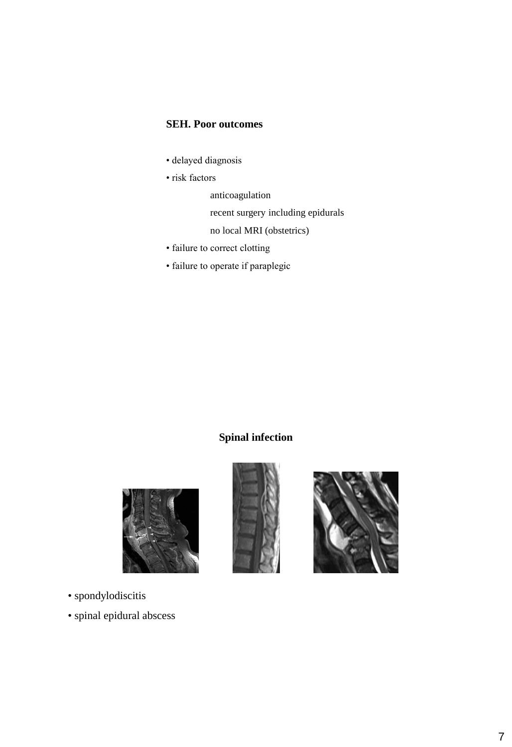#### **SEH. Poor outcomes**

- delayed diagnosis
- risk factors
	- anticoagulation
	- recent surgery including epidurals
	- no local MRI (obstetrics)
- failure to correct clotting
- failure to operate if paraplegic

## **Spinal infection**







- spondylodiscitis
- spinal epidural abscess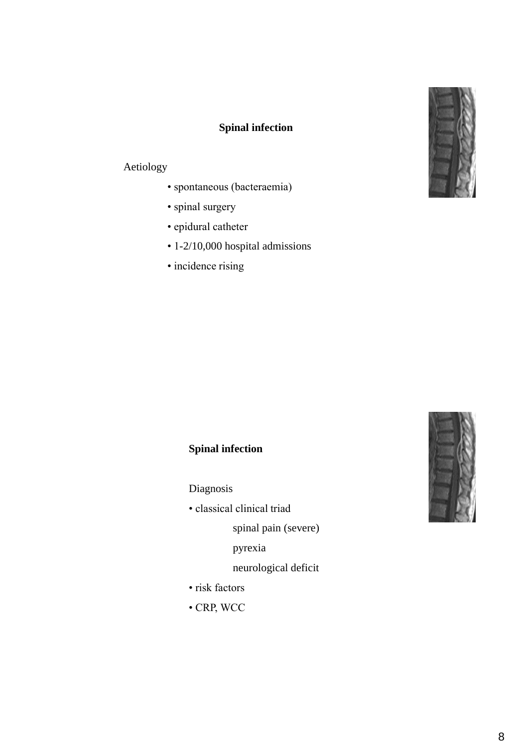

## **Spinal infection**

## Aetiology

- spontaneous (bacteraemia)
- spinal surgery
- epidural catheter
- 1-2/10,000 hospital admissions
- incidence rising

# **Spinal infection**

Diagnosis

• classical clinical triad

spinal pain (severe)

pyrexia

neurological deficit

- risk factors
- CRP, WCC

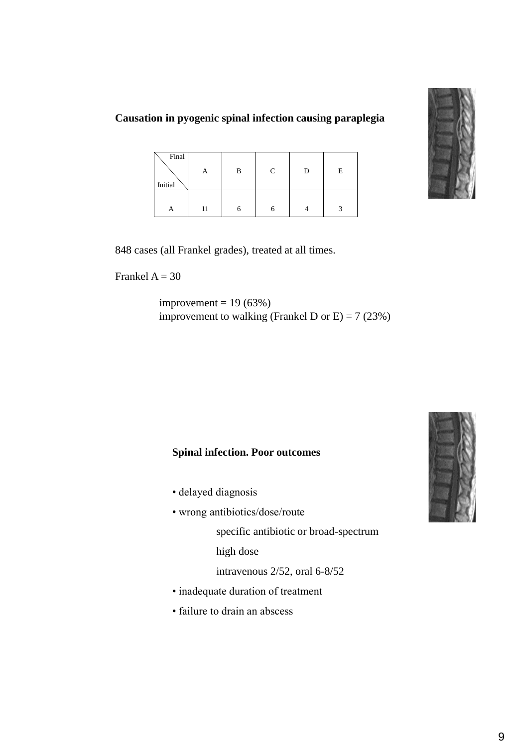

#### **Causation in pyogenic spinal infection causing paraplegia**

| Final<br>Initial | А  | В | C | D | E |
|------------------|----|---|---|---|---|
|                  | 11 |   |   |   |   |

848 cases (all Frankel grades), treated at all times.

Frankel  $A = 30$ 

improvement =  $19(63%)$ improvement to walking (Frankel D or E) =  $7 (23%)$ 

#### **Spinal infection. Poor outcomes**

- delayed diagnosis
- wrong antibiotics/dose/route

specific antibiotic or broad-spectrum

high dose

intravenous 2/52, oral 6-8/52

- inadequate duration of treatment
- failure to drain an abscess

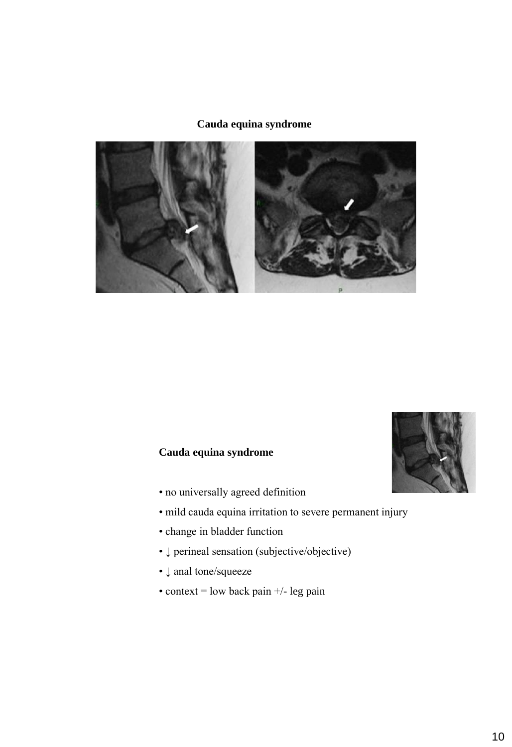#### **Cauda equina syndrome**



## **Cauda equina syndrome**

- no universally agreed definition
- mild cauda equina irritation to severe permanent injury
- change in bladder function
- ↓ perineal sensation (subjective/objective)
- ↓ anal tone/squeeze
- context = low back pain  $+/-$  leg pain

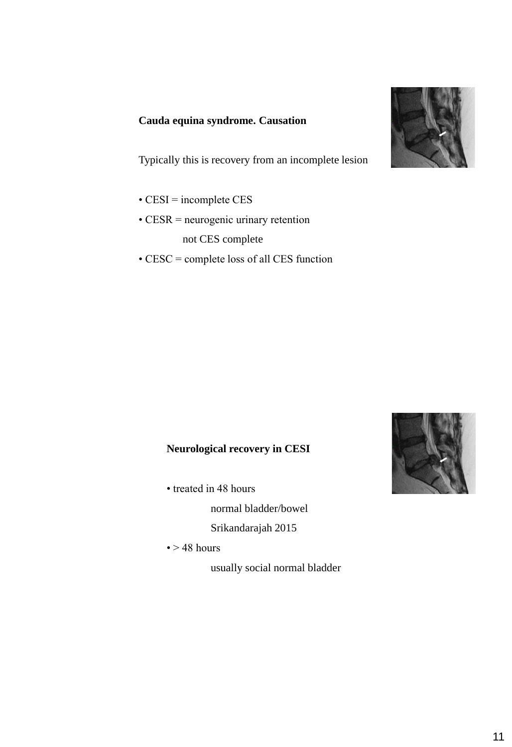#### **Cauda equina syndrome. Causation**

Typically this is recovery from an incomplete lesion

- CESI = incomplete CES
- CESR = neurogenic urinary retention not CES complete
- CESC = complete loss of all CES function

## **Neurological recovery in CESI**

• treated in 48 hours

normal bladder/bowel

Srikandarajah 2015

 $\bullet$  > 48 hours

usually social normal bladder



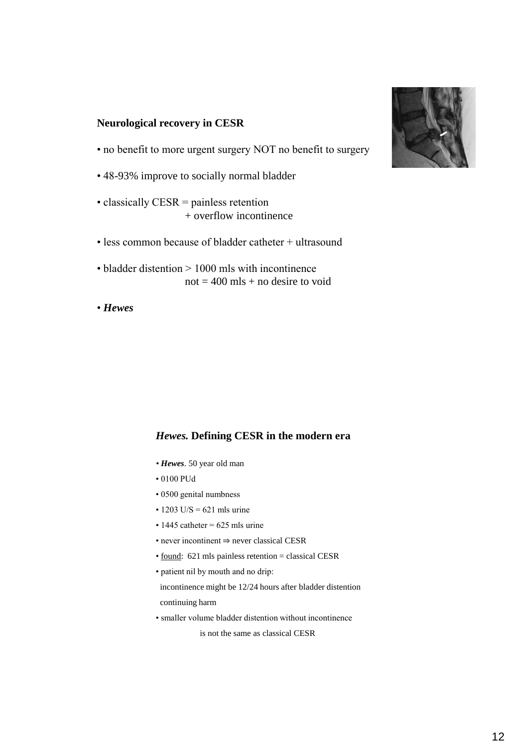#### **Neurological recovery in CESR**

- no benefit to more urgent surgery NOT no benefit to surgery
- 48-93% improve to socially normal bladder
- classically CESR = painless retention + overflow incontinence
- less common because of bladder catheter + ultrasound
- bladder distention > 1000 mls with incontinence  $not = 400$  mls + no desire to void
- *Hewes*

#### *Hewes.* **Defining CESR in the modern era**

- *Hewes*. 50 year old man
- 0100 PUd
- 0500 genital numbness
- $\cdot$  1203 U/S = 621 mls urine
- $\cdot$  1445 catheter = 625 mls urine
- never incontinent ⇒ never classical CESR
- found: 621 mls painless retention = classical CESR
- patient nil by mouth and no drip:
- incontinence might be 12/24 hours after bladder distention continuing harm
- smaller volume bladder distention without incontinence is not the same as classical CESR